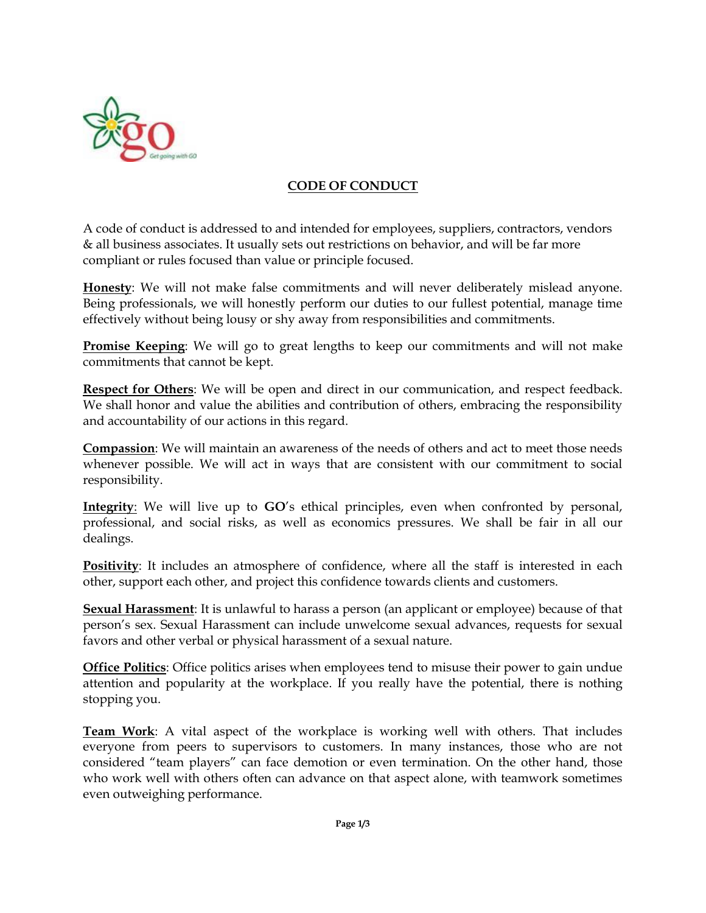

## **CODE OF CONDUCT**

A code of conduct is addressed to and intended for employees, suppliers, contractors, vendors & all business associates. It usually sets out restrictions on behavior, and will be far more compliant or rules focused than value or principle focused.

**Honesty**: We will not make false commitments and will never deliberately mislead anyone. Being professionals, we will honestly perform our duties to our fullest potential, manage time effectively without being lousy or shy away from responsibilities and commitments.

**Promise Keeping**: We will go to great lengths to keep our commitments and will not make commitments that cannot be kept.

**Respect for Others**: We will be open and direct in our communication, and respect feedback. We shall honor and value the abilities and contribution of others, embracing the responsibility and accountability of our actions in this regard.

**Compassion**: We will maintain an awareness of the needs of others and act to meet those needs whenever possible. We will act in ways that are consistent with our commitment to social responsibility.

**Integrity**: We will live up to **GO**'s ethical principles, even when confronted by personal, professional, and social risks, as well as economics pressures. We shall be fair in all our dealings.

**Positivity**: It includes an atmosphere of confidence, where all the staff is interested in each other, support each other, and project this confidence towards clients and customers.

**Sexual Harassment**: It is unlawful to harass a person (an applicant or employee) because of that person's sex. Sexual Harassment can include unwelcome sexual advances, requests for sexual favors and other verbal or physical harassment of a sexual nature.

**Office Politics**: Office politics arises when employees tend to misuse their power to gain undue attention and popularity at the workplace. If you really have the potential, there is nothing stopping you.

**Team Work**: A vital aspect of the workplace is working well with others. That includes everyone from peers to supervisors to customers. In many instances, those who are not considered "team players" can face demotion or even termination. On the other hand, those who work well with others often can advance on that aspect alone, with teamwork sometimes even outweighing performance.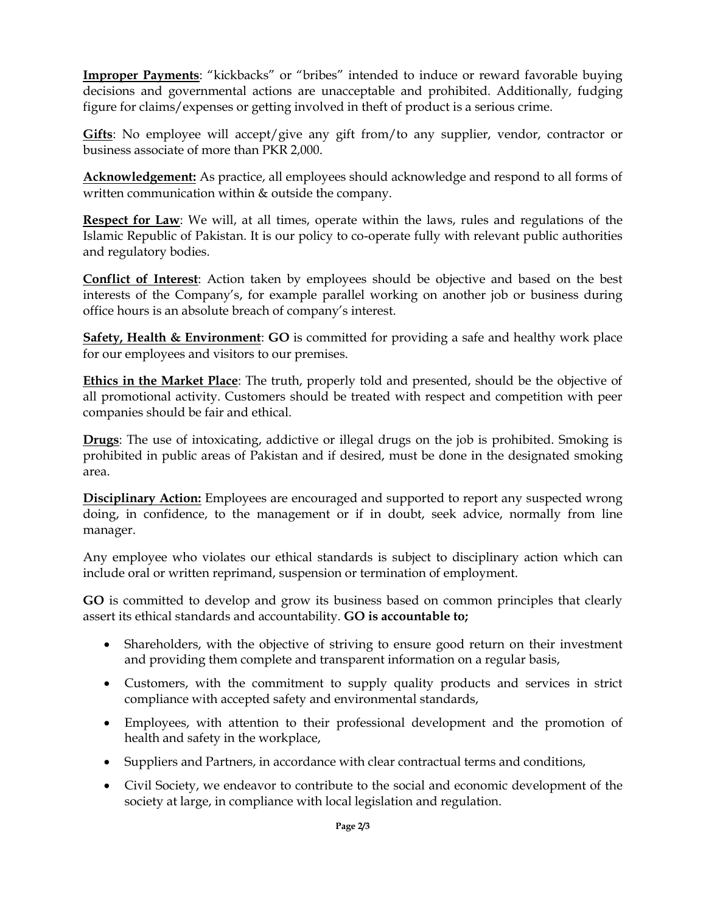**Improper Payments**: "kickbacks" or "bribes" intended to induce or reward favorable buying decisions and governmental actions are unacceptable and prohibited. Additionally, fudging figure for claims/expenses or getting involved in theft of product is a serious crime.

**Gifts**: No employee will accept/give any gift from/to any supplier, vendor, contractor or business associate of more than PKR 2,000.

**Acknowledgement:** As practice, all employees should acknowledge and respond to all forms of written communication within & outside the company.

**Respect for Law**: We will, at all times, operate within the laws, rules and regulations of the Islamic Republic of Pakistan. It is our policy to co-operate fully with relevant public authorities and regulatory bodies.

**Conflict of Interest**: Action taken by employees should be objective and based on the best interests of the Company's, for example parallel working on another job or business during office hours is an absolute breach of company's interest.

**Safety, Health & Environment**: **GO** is committed for providing a safe and healthy work place for our employees and visitors to our premises.

**Ethics in the Market Place**: The truth, properly told and presented, should be the objective of all promotional activity. Customers should be treated with respect and competition with peer companies should be fair and ethical.

**Drugs**: The use of intoxicating, addictive or illegal drugs on the job is prohibited. Smoking is prohibited in public areas of Pakistan and if desired, must be done in the designated smoking area.

**Disciplinary Action:** Employees are encouraged and supported to report any suspected wrong doing, in confidence, to the management or if in doubt, seek advice, normally from line manager.

Any employee who violates our ethical standards is subject to disciplinary action which can include oral or written reprimand, suspension or termination of employment.

**GO** is committed to develop and grow its business based on common principles that clearly assert its ethical standards and accountability. **GO is accountable to;**

- Shareholders, with the objective of striving to ensure good return on their investment and providing them complete and transparent information on a regular basis,
- Customers, with the commitment to supply quality products and services in strict compliance with accepted safety and environmental standards,
- Employees, with attention to their professional development and the promotion of health and safety in the workplace,
- Suppliers and Partners, in accordance with clear contractual terms and conditions,
- Civil Society, we endeavor to contribute to the social and economic development of the society at large, in compliance with local legislation and regulation.